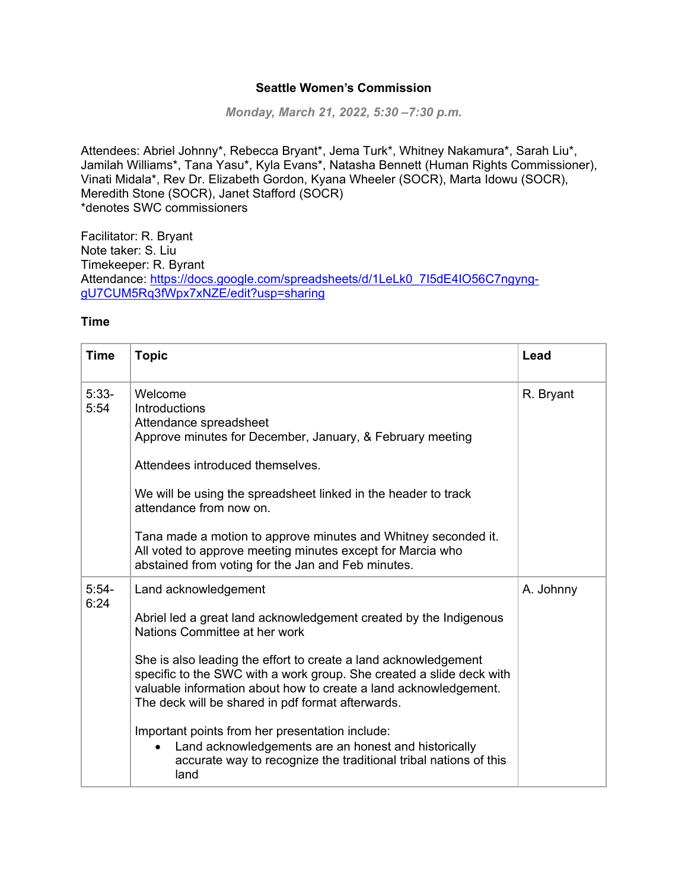## **Seattle Women's Commission**

*Monday, March 21, 2022, 5:30 –7:30 p.m.*

Attendees: Abriel Johnny\*, Rebecca Bryant\*, Jema Turk\*, Whitney Nakamura\*, Sarah Liu\*, Jamilah Williams\*, Tana Yasu\*, Kyla Evans\*, Natasha Bennett (Human Rights Commissioner), Vinati Midala\*, Rev Dr. Elizabeth Gordon, Kyana Wheeler (SOCR), Marta Idowu (SOCR), Meredith Stone (SOCR), Janet Stafford (SOCR) \*denotes SWC commissioners

Facilitator: R. Bryant Note taker: S. Liu Timekeeper: R. Byrant Attendance: [https://docs.google.com/spreadsheets/d/1LeLk0\\_7I5dE4IO56C7ngyng](https://docs.google.com/spreadsheets/d/1LeLk0_7I5dE4IO56C7ngyng-gU7CUM5Rq3fWpx7xNZE/edit?usp=sharing)[gU7CUM5Rq3fWpx7xNZE/edit?usp=sharing](https://docs.google.com/spreadsheets/d/1LeLk0_7I5dE4IO56C7ngyng-gU7CUM5Rq3fWpx7xNZE/edit?usp=sharing)

## **Time**

| <b>Topic</b>                                                                                                                                                                                                                                                                                                                                                                                                                                                                                              | Lead                                                                     |
|-----------------------------------------------------------------------------------------------------------------------------------------------------------------------------------------------------------------------------------------------------------------------------------------------------------------------------------------------------------------------------------------------------------------------------------------------------------------------------------------------------------|--------------------------------------------------------------------------|
| Welcome<br><b>Introductions</b><br>Attendance spreadsheet<br>Approve minutes for December, January, & February meeting<br>Attendees introduced themselves.<br>We will be using the spreadsheet linked in the header to track<br>attendance from now on.                                                                                                                                                                                                                                                   | R. Bryant                                                                |
| Tana made a motion to approve minutes and Whitney seconded it.<br>All voted to approve meeting minutes except for Marcia who<br>abstained from voting for the Jan and Feb minutes.                                                                                                                                                                                                                                                                                                                        |                                                                          |
| Land acknowledgement<br>Abriel led a great land acknowledgement created by the Indigenous<br>Nations Committee at her work<br>She is also leading the effort to create a land acknowledgement<br>specific to the SWC with a work group. She created a slide deck with<br>valuable information about how to create a land acknowledgement.<br>The deck will be shared in pdf format afterwards.<br>Important points from her presentation include:<br>Land acknowledgements are an honest and historically | A. Johnny                                                                |
|                                                                                                                                                                                                                                                                                                                                                                                                                                                                                                           | accurate way to recognize the traditional tribal nations of this<br>land |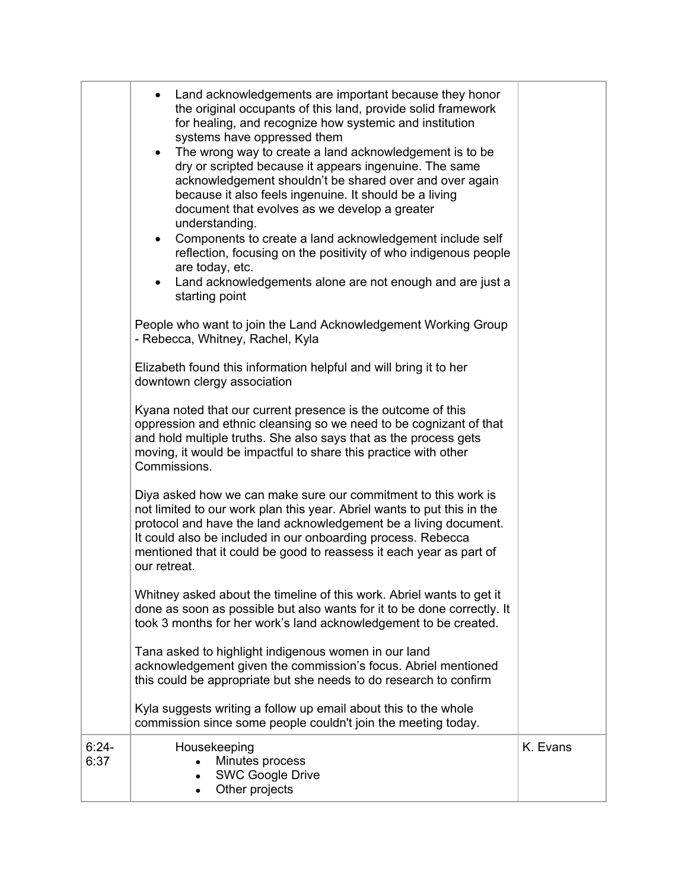|                 | Land acknowledgements are important because they honor<br>the original occupants of this land, provide solid framework<br>for healing, and recognize how systemic and institution<br>systems have oppressed them<br>The wrong way to create a land acknowledgement is to be<br>$\bullet$<br>dry or scripted because it appears ingenuine. The same<br>acknowledgement shouldn't be shared over and over again<br>because it also feels ingenuine. It should be a living<br>document that evolves as we develop a greater<br>understanding.<br>Components to create a land acknowledgement include self<br>$\bullet$<br>reflection, focusing on the positivity of who indigenous people<br>are today, etc.<br>Land acknowledgements alone are not enough and are just a<br>starting point |          |
|-----------------|------------------------------------------------------------------------------------------------------------------------------------------------------------------------------------------------------------------------------------------------------------------------------------------------------------------------------------------------------------------------------------------------------------------------------------------------------------------------------------------------------------------------------------------------------------------------------------------------------------------------------------------------------------------------------------------------------------------------------------------------------------------------------------------|----------|
|                 | People who want to join the Land Acknowledgement Working Group<br>- Rebecca, Whitney, Rachel, Kyla                                                                                                                                                                                                                                                                                                                                                                                                                                                                                                                                                                                                                                                                                       |          |
|                 | Elizabeth found this information helpful and will bring it to her<br>downtown clergy association                                                                                                                                                                                                                                                                                                                                                                                                                                                                                                                                                                                                                                                                                         |          |
|                 | Kyana noted that our current presence is the outcome of this<br>oppression and ethnic cleansing so we need to be cognizant of that<br>and hold multiple truths. She also says that as the process gets<br>moving, it would be impactful to share this practice with other<br>Commissions.                                                                                                                                                                                                                                                                                                                                                                                                                                                                                                |          |
|                 | Diya asked how we can make sure our commitment to this work is<br>not limited to our work plan this year. Abriel wants to put this in the<br>protocol and have the land acknowledgement be a living document.<br>It could also be included in our onboarding process. Rebecca<br>mentioned that it could be good to reassess it each year as part of<br>our retreat.                                                                                                                                                                                                                                                                                                                                                                                                                     |          |
|                 | Whitney asked about the timeline of this work. Abriel wants to get it<br>done as soon as possible but also wants for it to be done correctly. It<br>took 3 months for her work's land acknowledgement to be created.                                                                                                                                                                                                                                                                                                                                                                                                                                                                                                                                                                     |          |
|                 | Tana asked to highlight indigenous women in our land<br>acknowledgement given the commission's focus. Abriel mentioned<br>this could be appropriate but she needs to do research to confirm                                                                                                                                                                                                                                                                                                                                                                                                                                                                                                                                                                                              |          |
|                 | Kyla suggests writing a follow up email about this to the whole<br>commission since some people couldn't join the meeting today.                                                                                                                                                                                                                                                                                                                                                                                                                                                                                                                                                                                                                                                         |          |
| $6:24-$<br>6:37 | Housekeeping<br>Minutes process<br><b>SWC Google Drive</b><br>Other projects                                                                                                                                                                                                                                                                                                                                                                                                                                                                                                                                                                                                                                                                                                             | K. Evans |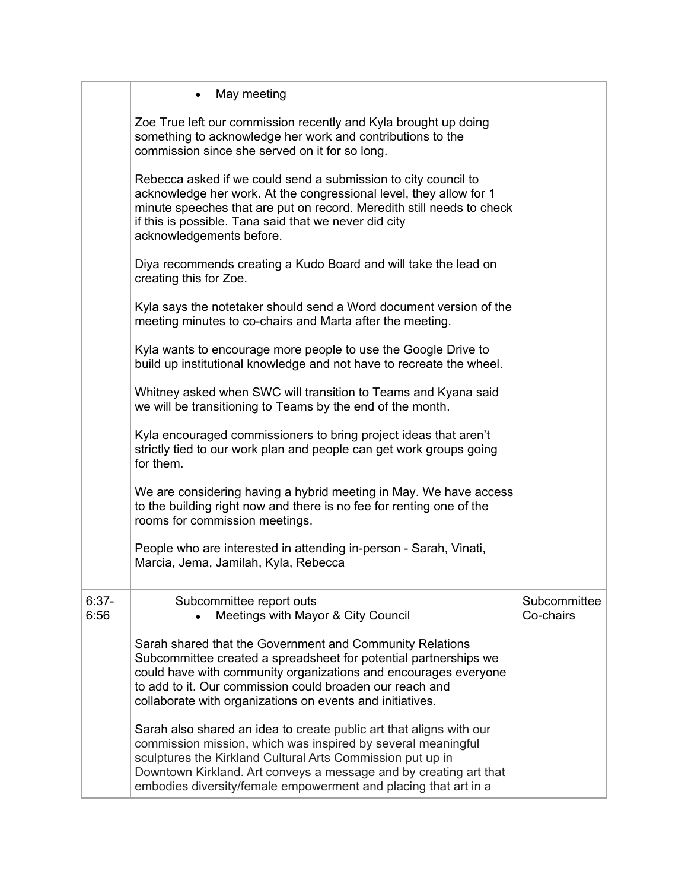|                 | May meeting<br>$\bullet$                                                                                                                                                                                                                                                                                                                  |                           |
|-----------------|-------------------------------------------------------------------------------------------------------------------------------------------------------------------------------------------------------------------------------------------------------------------------------------------------------------------------------------------|---------------------------|
|                 | Zoe True left our commission recently and Kyla brought up doing<br>something to acknowledge her work and contributions to the<br>commission since she served on it for so long.                                                                                                                                                           |                           |
|                 | Rebecca asked if we could send a submission to city council to<br>acknowledge her work. At the congressional level, they allow for 1<br>minute speeches that are put on record. Meredith still needs to check<br>if this is possible. Tana said that we never did city<br>acknowledgements before.                                        |                           |
|                 | Diya recommends creating a Kudo Board and will take the lead on<br>creating this for Zoe.                                                                                                                                                                                                                                                 |                           |
|                 | Kyla says the notetaker should send a Word document version of the<br>meeting minutes to co-chairs and Marta after the meeting.                                                                                                                                                                                                           |                           |
|                 | Kyla wants to encourage more people to use the Google Drive to<br>build up institutional knowledge and not have to recreate the wheel.                                                                                                                                                                                                    |                           |
|                 | Whitney asked when SWC will transition to Teams and Kyana said<br>we will be transitioning to Teams by the end of the month.                                                                                                                                                                                                              |                           |
|                 | Kyla encouraged commissioners to bring project ideas that aren't<br>strictly tied to our work plan and people can get work groups going<br>for them.                                                                                                                                                                                      |                           |
|                 | We are considering having a hybrid meeting in May. We have access<br>to the building right now and there is no fee for renting one of the<br>rooms for commission meetings.                                                                                                                                                               |                           |
|                 | People who are interested in attending in-person - Sarah, Vinati,<br>Marcia, Jema, Jamilah, Kyla, Rebecca                                                                                                                                                                                                                                 |                           |
| $6:37-$<br>6:56 | Subcommittee report outs<br>Meetings with Mayor & City Council                                                                                                                                                                                                                                                                            | Subcommittee<br>Co-chairs |
|                 | Sarah shared that the Government and Community Relations<br>Subcommittee created a spreadsheet for potential partnerships we<br>could have with community organizations and encourages everyone<br>to add to it. Our commission could broaden our reach and<br>collaborate with organizations on events and initiatives.                  |                           |
|                 | Sarah also shared an idea to create public art that aligns with our<br>commission mission, which was inspired by several meaningful<br>sculptures the Kirkland Cultural Arts Commission put up in<br>Downtown Kirkland. Art conveys a message and by creating art that<br>embodies diversity/female empowerment and placing that art in a |                           |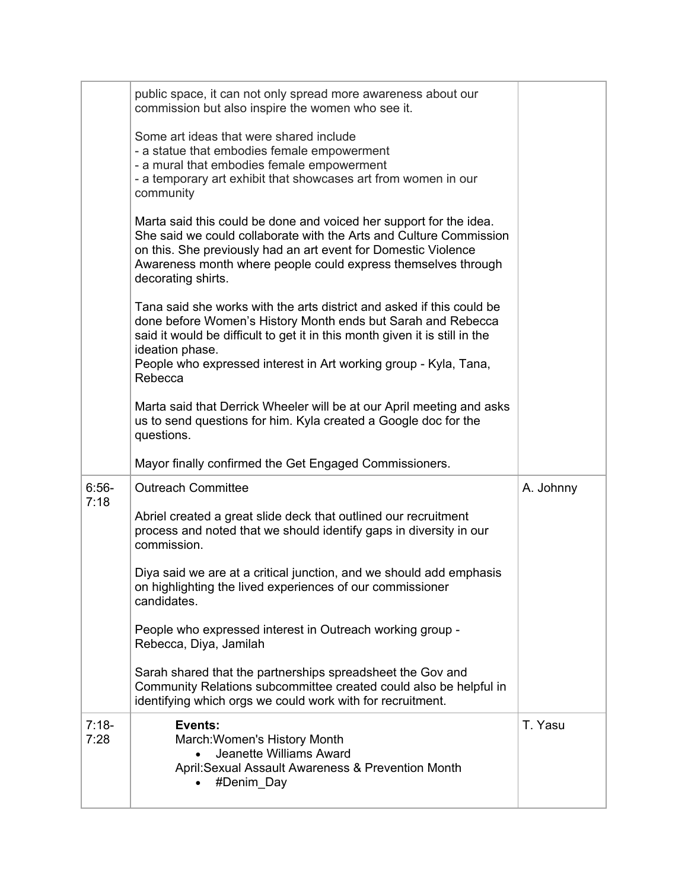|                 | public space, it can not only spread more awareness about our<br>commission but also inspire the women who see it.                                                                                                                                                                                                     |           |
|-----------------|------------------------------------------------------------------------------------------------------------------------------------------------------------------------------------------------------------------------------------------------------------------------------------------------------------------------|-----------|
|                 | Some art ideas that were shared include<br>- a statue that embodies female empowerment<br>- a mural that embodies female empowerment<br>- a temporary art exhibit that showcases art from women in our<br>community                                                                                                    |           |
|                 | Marta said this could be done and voiced her support for the idea.<br>She said we could collaborate with the Arts and Culture Commission<br>on this. She previously had an art event for Domestic Violence<br>Awareness month where people could express themselves through<br>decorating shirts.                      |           |
|                 | Tana said she works with the arts district and asked if this could be<br>done before Women's History Month ends but Sarah and Rebecca<br>said it would be difficult to get it in this month given it is still in the<br>ideation phase.<br>People who expressed interest in Art working group - Kyla, Tana,<br>Rebecca |           |
|                 | Marta said that Derrick Wheeler will be at our April meeting and asks<br>us to send questions for him. Kyla created a Google doc for the<br>questions.                                                                                                                                                                 |           |
|                 | Mayor finally confirmed the Get Engaged Commissioners.                                                                                                                                                                                                                                                                 |           |
| $6:56-$<br>7:18 | <b>Outreach Committee</b>                                                                                                                                                                                                                                                                                              | A. Johnny |
|                 | Abriel created a great slide deck that outlined our recruitment<br>process and noted that we should identify gaps in diversity in our<br>commission.                                                                                                                                                                   |           |
|                 | Diya said we are at a critical junction, and we should add emphasis<br>on highlighting the lived experiences of our commissioner<br>candidates.                                                                                                                                                                        |           |
|                 | People who expressed interest in Outreach working group -<br>Rebecca, Diya, Jamilah                                                                                                                                                                                                                                    |           |
|                 | Sarah shared that the partnerships spreadsheet the Gov and<br>Community Relations subcommittee created could also be helpful in<br>identifying which orgs we could work with for recruitment.                                                                                                                          |           |
| $7:18-$<br>7:28 | Events:<br>March: Women's History Month<br><b>Jeanette Williams Award</b><br>April: Sexual Assault Awareness & Prevention Month<br>#Denim Day                                                                                                                                                                          | T. Yasu   |